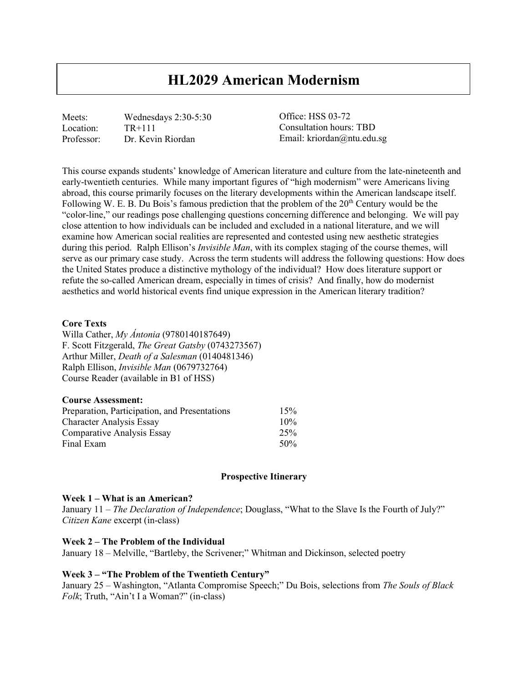# **HL2029 American Modernism**

Meets: Wednesdays 2:30-5:30 Location: TR+111<br>Professor: Dr. Kevi Dr. Kevin Riordan

Office: HSS 03-72 Consultation hours: TBD Email: kriordan@ntu.edu.sg

This course expands students' knowledge of American literature and culture from the late-nineteenth and early-twentieth centuries. While many important figures of "high modernism" were Americans living abroad, this course primarily focuses on the literary developments within the American landscape itself. Following W. E. B. Du Bois's famous prediction that the problem of the 20<sup>th</sup> Century would be the "color-line," our readings pose challenging questions concerning difference and belonging. We will pay close attention to how individuals can be included and excluded in a national literature, and we will examine how American social realities are represented and contested using new aesthetic strategies during this period. Ralph Ellison's *Invisible Man*, with its complex staging of the course themes, will serve as our primary case study. Across the term students will address the following questions: How does the United States produce a distinctive mythology of the individual? How does literature support or refute the so-called American dream, especially in times of crisis? And finally, how do modernist aesthetics and world historical events find unique expression in the American literary tradition?

## **Core Texts**

Willa Cather, *My Ántonia* (9780140187649) F. Scott Fitzgerald, *The Great Gatsby* (0743273567) Arthur Miller, *Death of a Salesman* (0140481346) Ralph Ellison, *Invisible Man* (0679732764) Course Reader (available in B1 of HSS)

| <b>Course Assessment:</b>                     |     |
|-----------------------------------------------|-----|
| Preparation, Participation, and Presentations | 15% |
| <b>Character Analysis Essay</b>               | 10% |
| <b>Comparative Analysis Essay</b>             | 25% |
| Final Exam                                    | 50% |

#### **Prospective Itinerary**

#### **Week 1 – What is an American?**

January 11 – *The Declaration of Independence*; Douglass, "What to the Slave Is the Fourth of July?" *Citizen Kane* excerpt (in-class)

#### **Week 2 – The Problem of the Individual**

January 18 – Melville, "Bartleby, the Scrivener;" Whitman and Dickinson, selected poetry

# **Week 3 – "The Problem of the Twentieth Century"**

January 25 – Washington, "Atlanta Compromise Speech;" Du Bois, selections from *The Souls of Black Folk*; Truth, "Ain't I a Woman?" (in-class)